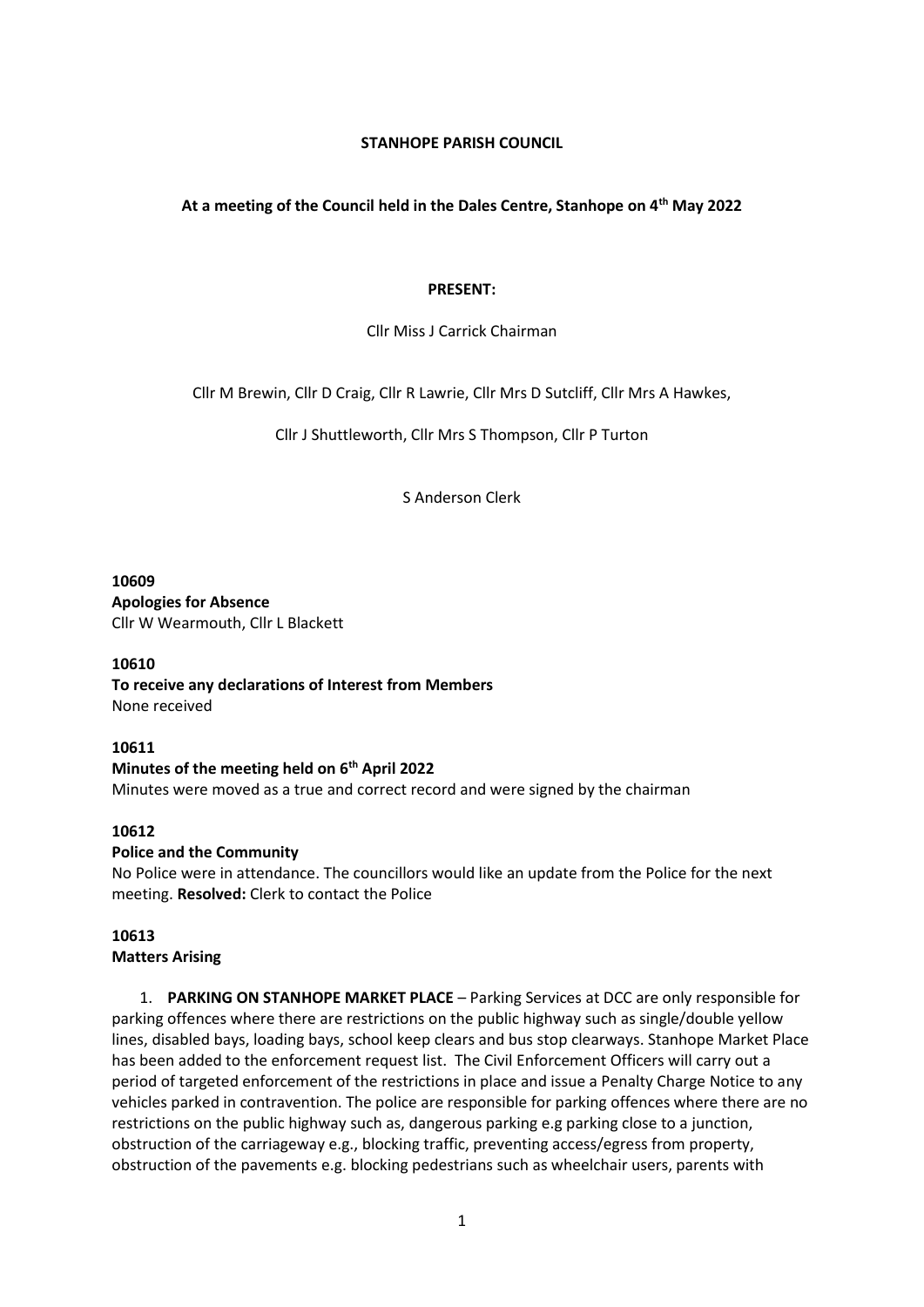## **STANHOPE PARISH COUNCIL**

## **At a meeting of the Council held in the Dales Centre, Stanhope on 4th May 2022**

#### **PRESENT:**

#### Cllr Miss J Carrick Chairman

Cllr M Brewin, Cllr D Craig, Cllr R Lawrie, Cllr Mrs D Sutcliff, Cllr Mrs A Hawkes,

Cllr J Shuttleworth, Cllr Mrs S Thompson, Cllr P Turton

S Anderson Clerk

**10609 Apologies for Absence** Cllr W Wearmouth, Cllr L Blackett

#### **10610**

**To receive any declarations of Interest from Members** None received

#### **10611**

#### **Minutes of the meeting held on 6th April 2022**

Minutes were moved as a true and correct record and were signed by the chairman

#### **10612**

#### **Police and the Community**

No Police were in attendance. The councillors would like an update from the Police for the next meeting. **Resolved:** Clerk to contact the Police

# **10613**

## **Matters Arising**

1. **PARKING ON STANHOPE MARKET PLACE** – Parking Services at DCC are only responsible for parking offences where there are restrictions on the public highway such as single/double yellow lines, disabled bays, loading bays, school keep clears and bus stop clearways. Stanhope Market Place has been added to the enforcement request list. The Civil Enforcement Officers will carry out a period of targeted enforcement of the restrictions in place and issue a Penalty Charge Notice to any vehicles parked in contravention. The police are responsible for parking offences where there are no restrictions on the public highway such as, dangerous parking e.g parking close to a junction, obstruction of the carriageway e.g., blocking traffic, preventing access/egress from property, obstruction of the pavements e.g. blocking pedestrians such as wheelchair users, parents with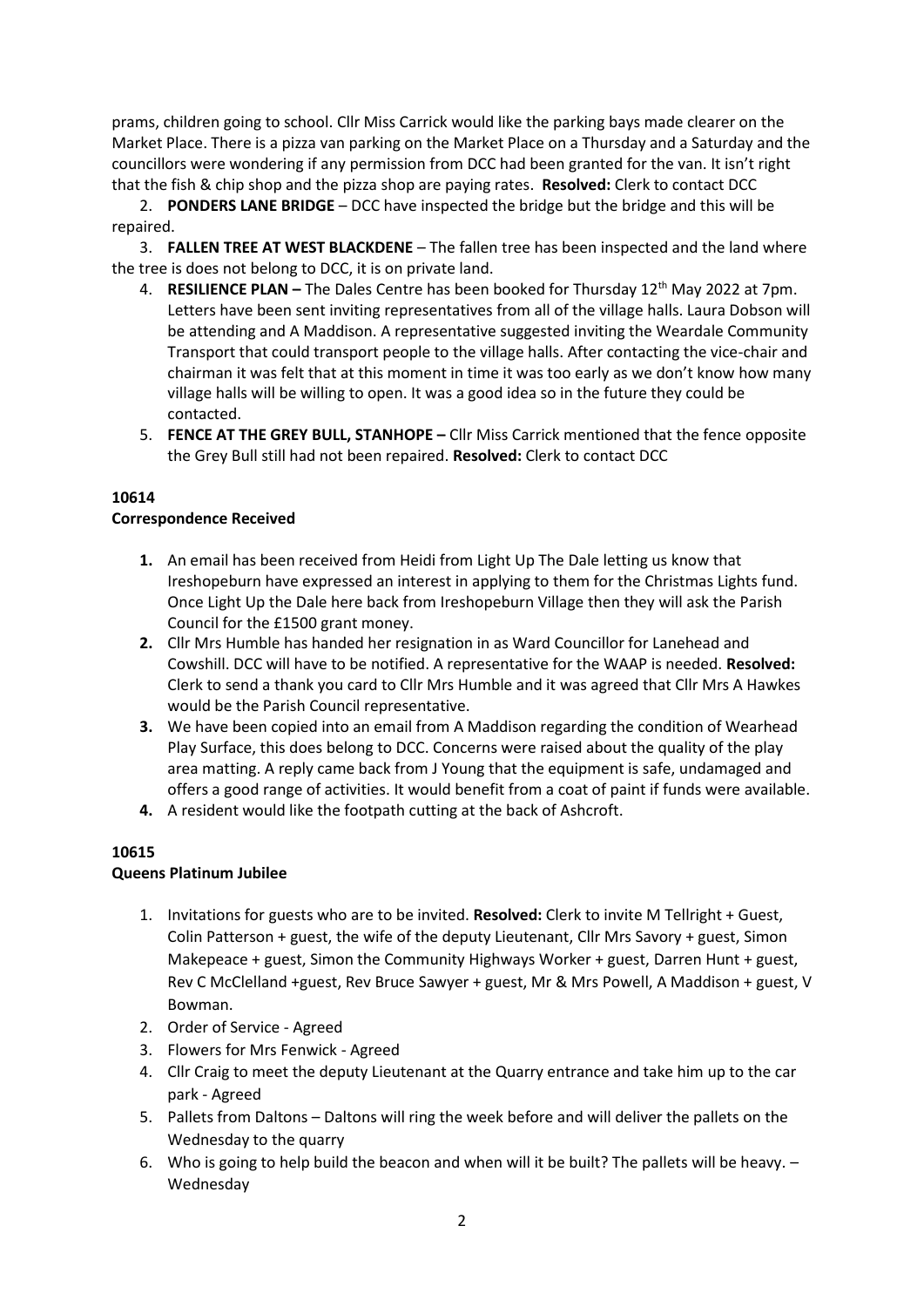prams, children going to school. Cllr Miss Carrick would like the parking bays made clearer on the Market Place. There is a pizza van parking on the Market Place on a Thursday and a Saturday and the councillors were wondering if any permission from DCC had been granted for the van. It isn't right that the fish & chip shop and the pizza shop are paying rates. **Resolved:** Clerk to contact DCC

2. **PONDERS LANE BRIDGE** – DCC have inspected the bridge but the bridge and this will be repaired.

3. **FALLEN TREE AT WEST BLACKDENE** – The fallen tree has been inspected and the land where the tree is does not belong to DCC, it is on private land.

- 4. **RESILIENCE PLAN –** The Dales Centre has been booked for Thursday 12th May 2022 at 7pm. Letters have been sent inviting representatives from all of the village halls. Laura Dobson will be attending and A Maddison. A representative suggested inviting the Weardale Community Transport that could transport people to the village halls. After contacting the vice-chair and chairman it was felt that at this moment in time it was too early as we don't know how many village halls will be willing to open. It was a good idea so in the future they could be contacted.
- 5. **FENCE AT THE GREY BULL, STANHOPE –** Cllr Miss Carrick mentioned that the fence opposite the Grey Bull still had not been repaired. **Resolved:** Clerk to contact DCC

## **10614**

## **Correspondence Received**

- **1.** An email has been received from Heidi from Light Up The Dale letting us know that Ireshopeburn have expressed an interest in applying to them for the Christmas Lights fund. Once Light Up the Dale here back from Ireshopeburn Village then they will ask the Parish Council for the £1500 grant money.
- **2.** Cllr Mrs Humble has handed her resignation in as Ward Councillor for Lanehead and Cowshill. DCC will have to be notified. A representative for the WAAP is needed. **Resolved:**  Clerk to send a thank you card to Cllr Mrs Humble and it was agreed that Cllr Mrs A Hawkes would be the Parish Council representative.
- **3.** We have been copied into an email from A Maddison regarding the condition of Wearhead Play Surface, this does belong to DCC. Concerns were raised about the quality of the play area matting. A reply came back from J Young that the equipment is safe, undamaged and offers a good range of activities. It would benefit from a coat of paint if funds were available.
- **4.** A resident would like the footpath cutting at the back of Ashcroft.

#### **10615**

# **Queens Platinum Jubilee**

- 1. Invitations for guests who are to be invited. **Resolved:** Clerk to invite M Tellright + Guest, Colin Patterson + guest, the wife of the deputy Lieutenant, Cllr Mrs Savory + guest, Simon Makepeace + guest, Simon the Community Highways Worker + guest, Darren Hunt + guest, Rev C McClelland +guest, Rev Bruce Sawyer + guest, Mr & Mrs Powell, A Maddison + guest, V Bowman.
- 2. Order of Service Agreed
- 3. Flowers for Mrs Fenwick Agreed
- 4. Cllr Craig to meet the deputy Lieutenant at the Quarry entrance and take him up to the car park - Agreed
- 5. Pallets from Daltons Daltons will ring the week before and will deliver the pallets on the Wednesday to the quarry
- 6. Who is going to help build the beacon and when will it be built? The pallets will be heavy. Wednesday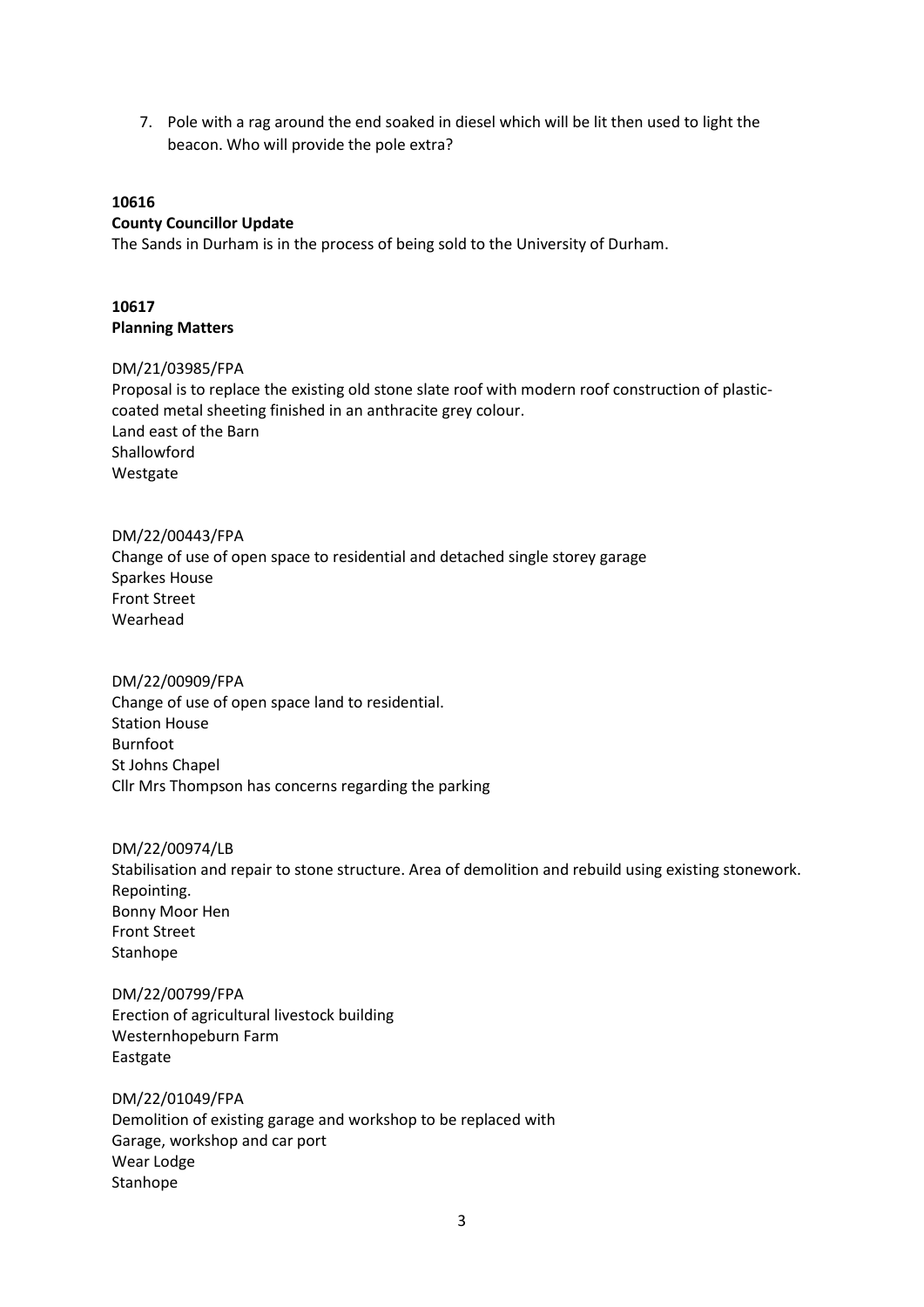7. Pole with a rag around the end soaked in diesel which will be lit then used to light the beacon. Who will provide the pole extra?

### **10616**

#### **County Councillor Update**

The Sands in Durham is in the process of being sold to the University of Durham.

## **10617 Planning Matters**

#### DM/21/03985/FPA

Proposal is to replace the existing old stone slate roof with modern roof construction of plasticcoated metal sheeting finished in an anthracite grey colour. Land east of the Barn Shallowford Westgate

DM/22/00443/FPA Change of use of open space to residential and detached single storey garage Sparkes House Front Street Wearhead

DM/22/00909/FPA Change of use of open space land to residential. Station House Burnfoot St Johns Chapel Cllr Mrs Thompson has concerns regarding the parking

DM/22/00974/LB Stabilisation and repair to stone structure. Area of demolition and rebuild using existing stonework. Repointing. Bonny Moor Hen Front Street Stanhope

DM/22/00799/FPA Erection of agricultural livestock building Westernhopeburn Farm Eastgate

DM/22/01049/FPA Demolition of existing garage and workshop to be replaced with Garage, workshop and car port Wear Lodge Stanhope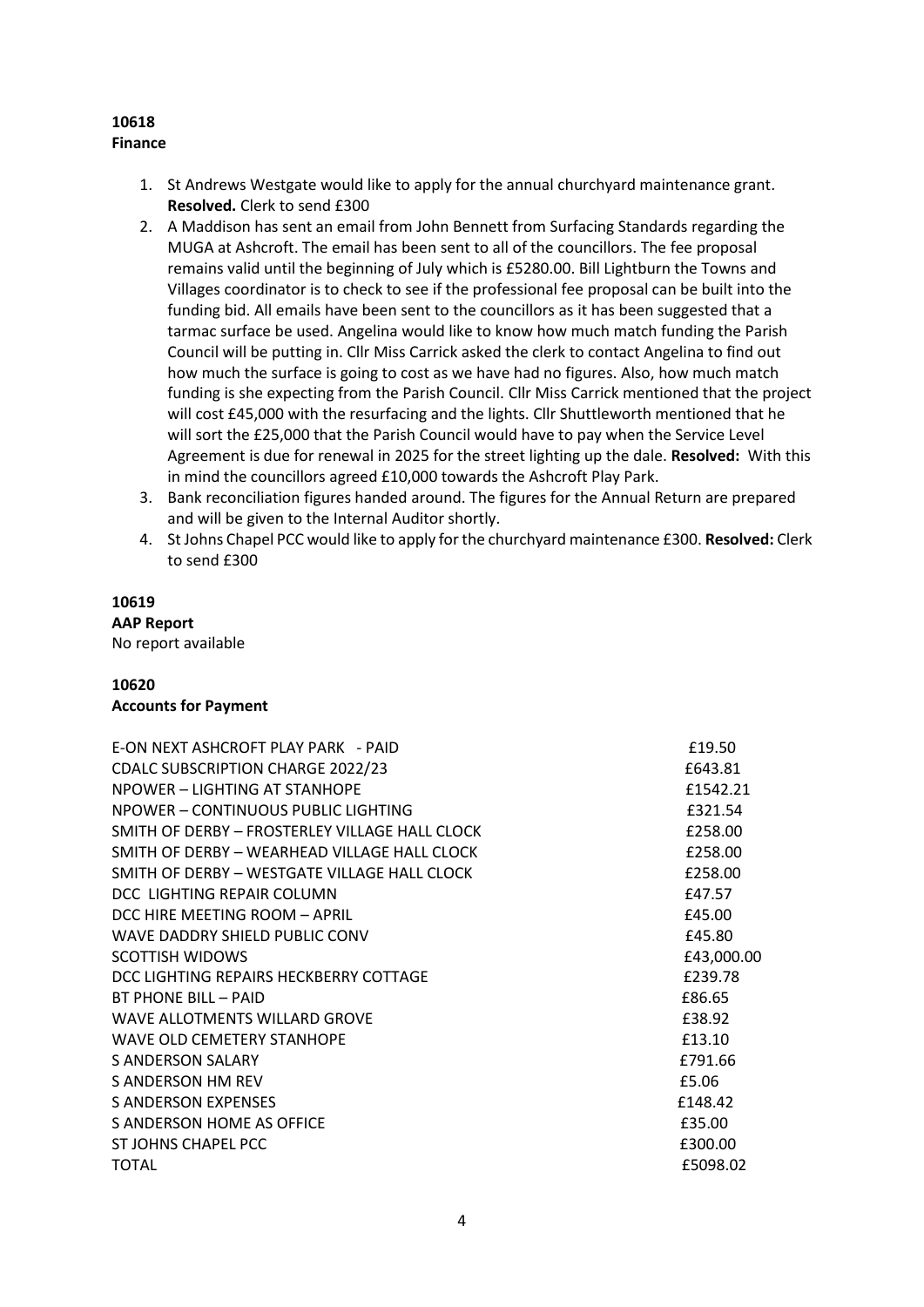# **10618 Finance**

- 1. St Andrews Westgate would like to apply for the annual churchyard maintenance grant. **Resolved.** Clerk to send £300
- 2. A Maddison has sent an email from John Bennett from Surfacing Standards regarding the MUGA at Ashcroft. The email has been sent to all of the councillors. The fee proposal remains valid until the beginning of July which is £5280.00. Bill Lightburn the Towns and Villages coordinator is to check to see if the professional fee proposal can be built into the funding bid. All emails have been sent to the councillors as it has been suggested that a tarmac surface be used. Angelina would like to know how much match funding the Parish Council will be putting in. Cllr Miss Carrick asked the clerk to contact Angelina to find out how much the surface is going to cost as we have had no figures. Also, how much match funding is she expecting from the Parish Council. Cllr Miss Carrick mentioned that the project will cost £45,000 with the resurfacing and the lights. Cllr Shuttleworth mentioned that he will sort the £25,000 that the Parish Council would have to pay when the Service Level Agreement is due for renewal in 2025 for the street lighting up the dale. **Resolved:** With this in mind the councillors agreed £10,000 towards the Ashcroft Play Park.
- 3. Bank reconciliation figures handed around. The figures for the Annual Return are prepared and will be given to the Internal Auditor shortly.
- 4. St Johns Chapel PCC would like to apply for the churchyard maintenance £300. **Resolved:** Clerk to send £300

# **10619**

# **AAP Report**

No report available

# **10620**

# **Accounts for Payment**

| <b>E-ON NEXT ASHCROFT PLAY PARK - PAID</b>     | £19.50     |
|------------------------------------------------|------------|
| <b>CDALC SUBSCRIPTION CHARGE 2022/23</b>       | £643.81    |
| NPOWER - LIGHTING AT STANHOPE                  | £1542.21   |
| NPOWER - CONTINUOUS PUBLIC LIGHTING            | £321.54    |
| SMITH OF DERBY - FROSTERLEY VILLAGE HALL CLOCK | £258.00    |
| SMITH OF DERBY - WEARHEAD VILLAGE HALL CLOCK   | £258.00    |
| SMITH OF DERBY - WESTGATE VILLAGE HALL CLOCK   | £258.00    |
| DCC. LIGHTING REPAIR COLUMN                    | £47.57     |
| DCC HIRE MEETING ROOM - APRIL                  | £45.00     |
| WAVE DADDRY SHIELD PUBLIC CONV                 | £45.80     |
| <b>SCOTTISH WIDOWS</b>                         | £43,000.00 |
| DCC LIGHTING REPAIRS HECKBERRY COTTAGE         | £239.78    |
| <b>BT PHONE BILL - PAID</b>                    | £86.65     |
| WAVE ALLOTMENTS WILLARD GROVE                  | £38.92     |
| WAVE OLD CEMETERY STANHOPE                     | £13.10     |
| S ANDERSON SALARY                              | £791.66    |
| S ANDERSON HM REV                              | £5.06      |
| <b>S ANDERSON EXPENSES</b>                     | £148.42    |
| S ANDERSON HOME AS OFFICE                      | £35.00     |
| ST JOHNS CHAPEL PCC                            | £300.00    |
| TOTAL                                          | £5098.02   |
|                                                |            |